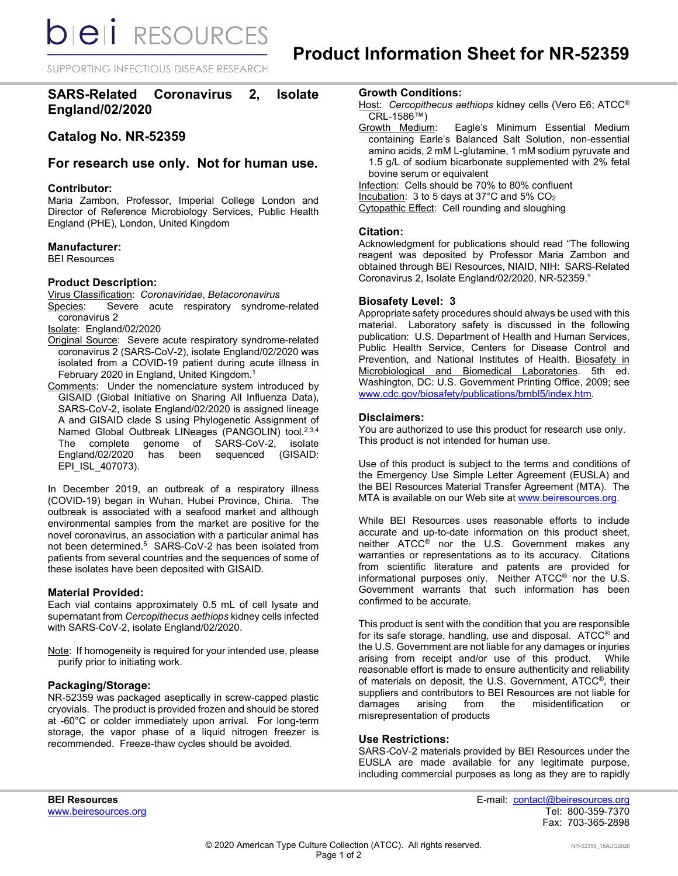**DIEI** RESOURCES

SUPPORTING INFECTIOUS DISEASE RESEARCH

**SARS-Related Coronavirus 2, Isolate England/02/2020**

# **Catalog No. NR-52359**

# **For research use only. Not for human use.**

# **Contributor:**

Maria Zambon, Professor, Imperial College London and Director of Reference Microbiology Services, Public Health England (PHE), London, United Kingdom

# **Manufacturer:**

BEI Resources

# **Product Description:**

Virus Classification: *Coronaviridae*, *Betacoronavirus* Severe acute respiratory syndrome-related coronavirus 2

Isolate: England/02/2020

- Original Source: Severe acute respiratory syndrome-related coronavirus 2 (SARS-CoV-2), isolate England/02/2020 was isolated from a COVID-19 patient during acute illness in February 2020 in England, United Kingdom. 1
- Comments: Under the nomenclature system introduced by GISAID (Global Initiative on Sharing All Influenza Data), SARS-CoV-2, isolate England/02/2020 is assigned lineage A and GISAID clade S using Phylogenetic Assignment of Named Global Outbreak LINeages (PANGOLIN) tool.<sup>2,3,4</sup> The complete genome of SARS-CoV-2, isolate<br>England/02/2020 has been sequenced (GISAID: has been sequenced (GISAID: EPI\_ISL\_407073).

In December 2019, an outbreak of a respiratory illness (COVID-19) began in Wuhan, Hubei Province, China. The outbreak is associated with a seafood market and although environmental samples from the market are positive for the novel coronavirus, an association with a particular animal has not been determined.<sup>5</sup> SARS-CoV-2 has been isolated from patients from several countries and the sequences of some of these isolates have been deposited with GISAID.

# **Material Provided:**

Each vial contains approximately 0.5 mL of cell lysate and supernatant from *Cercopithecus aethiops* kidney cells infected with SARS-CoV-2, isolate England/02/2020.

Note: If homogeneity is required for your intended use, please purify prior to initiating work.

# **Packaging/Storage:**

NR-52359 was packaged aseptically in screw-capped plastic cryovials. The product is provided frozen and should be stored at -60°C or colder immediately upon arrival. For long-term storage, the vapor phase of a liquid nitrogen freezer is recommended. Freeze-thaw cycles should be avoided.

#### **Growth Conditions:**

- Host: *Cercopithecus aethiops* kidney cells (Vero E6; ATCC® CRL-1586™)<br>Growth Medium:
- Eagle's Minimum Essential Medium containing Earle's Balanced Salt Solution, non-essential amino acids, 2 mM L-glutamine, 1 mM sodium pyruvate and 1.5 g/L of sodium bicarbonate supplemented with 2% fetal bovine serum or equivalent

Infection: Cells should be 70% to 80% confluent Incubation: 3 to 5 days at 37°C and 5% CO<sub>2</sub>

Cytopathic Effect: Cell rounding and sloughing

# **Citation:**

Acknowledgment for publications should read "The following reagent was deposited by Professor Maria Zambon and obtained through BEI Resources, NIAID, NIH: SARS-Related Coronavirus 2, Isolate England/02/2020, NR-52359."

# **Biosafety Level: 3**

Appropriate safety procedures should always be used with this material. Laboratory safety is discussed in the following publication: U.S. Department of Health and Human Services, Public Health Service, Centers for Disease Control and Prevention, and National Institutes of Health. Biosafety in Microbiological and Biomedical Laboratories. 5th ed. Washington, DC: U.S. Government Printing Office, 2009; see [www.cdc.gov/biosafety/publications/bmbl5/index.htm.](http://www.cdc.gov/biosafety/publications/bmbl5/index.htm)

# **Disclaimers:**

You are authorized to use this product for research use only. This product is not intended for human use.

Use of this product is subject to the terms and conditions of the Emergency Use Simple Letter Agreement (EUSLA) and the BEI Resources Material Transfer Agreement (MTA). The MTA is available on our Web site at [www.beiresources.org.](http://www.beiresources.org/)

While BEI Resources uses reasonable efforts to include accurate and up-to-date information on this product sheet, neither ATCC<sup>®</sup> nor the U.S. Government makes any warranties or representations as to its accuracy. Citations from scientific literature and patents are provided for informational purposes only. Neither ATCC® nor the U.S. Government warrants that such information has been confirmed to be accurate.

This product is sent with the condition that you are responsible for its safe storage, handling, use and disposal. ATCC® and the U.S. Government are not liable for any damages or injuries arising from receipt and/or use of this product. While reasonable effort is made to ensure authenticity and reliability of materials on deposit, the U.S. Government, ATCC®, their suppliers and contributors to BEI Resources are not liable for<br>damages arising from the misidentification or misidentification misrepresentation of products

# **Use Restrictions:**

SARS-CoV-2 materials provided by BEI Resources under the EUSLA are made available for any legitimate purpose, including commercial purposes as long as they are to rapidly

**BEI Resources** E-mail: contact@beiresources.org Fax: 703-365-2898